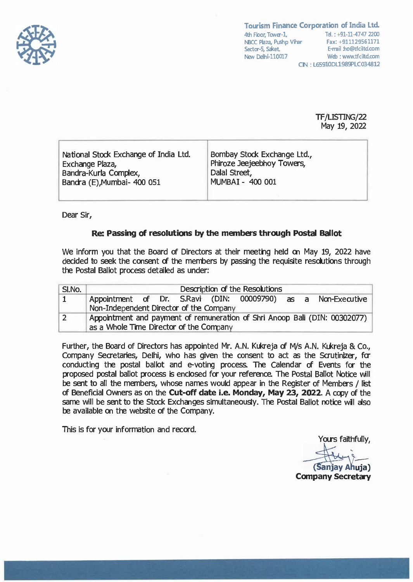

**Tourism Finance Corporation of India Ltd.**  4th Floor, Tower-1, Tel. : +91-11-4747 2200 **NBCC Plaza, Pushp Vihar** Fax: +911129561171<br>Sector-5. Saket. **Facture E-mail**: ho@tfciltd.com Sector-5, Saket, New Delhi-110017 Web : www.tfciltd.com **CIN : L65910DL1989PLC034812** 

> **TF/LISTING/22**  May 19, 2022

| National Stock Exchange of India Ltd.<br>Exchange Plaza,<br>Bandra-Kurla Complex,<br>Bandra (E), Mumbai- 400 051 | Bombay Stock Exchange Ltd.,<br>Phiroze Jeejeebhoy Towers,<br>Dalal Street,<br>MUMBAI - 400 001 |  |
|------------------------------------------------------------------------------------------------------------------|------------------------------------------------------------------------------------------------|--|
|------------------------------------------------------------------------------------------------------------------|------------------------------------------------------------------------------------------------|--|

Dear Sir,

## **Re: Passing of resolutions by the members through Postal Ballot**

We inform you that the Board of Directors at their meeting held on May 19, 2022 have decided to seek the consent of the members by passing the requisite resolutions through the Postal Ballot process detailed as under:

| SI.No. | Description of the Resolutions                                             |  |  |
|--------|----------------------------------------------------------------------------|--|--|
| 1      | Appointment of Dr. S.Ravi (DIN: 00009790) as a Non-Executive               |  |  |
|        | Non-Independent Director of the Company                                    |  |  |
|        | Appointment and payment of remuneration of Shri Anoop Bali (DIN: 00302077) |  |  |
|        | as a Whole Time Director of the Company                                    |  |  |

Further, the Board of Directors has appointed Mr. A.N. Kukreja of M/s A.N. Kukreja & Co., Company Secretaries, Delhi, who has given the consent to act as the Scrutinizer, for conducting the postal ballot and e-voting process. The Calendar of Events for the proposed postal ballot process is enclosed for your reference. The Postal Ballot Notice will be sent to all the members, whose names would appear in the Register of Members / list of Beneficial Owners as on the **Cut-off date i.e. Monday, May 23, 2022.** A copy of the same will be sent to the Stock Exchanges simultaneously. The Postal Ballot notice will also be available on the website of the Company.

This is for your information and record.

Yours faithfully, **Company Secretary**